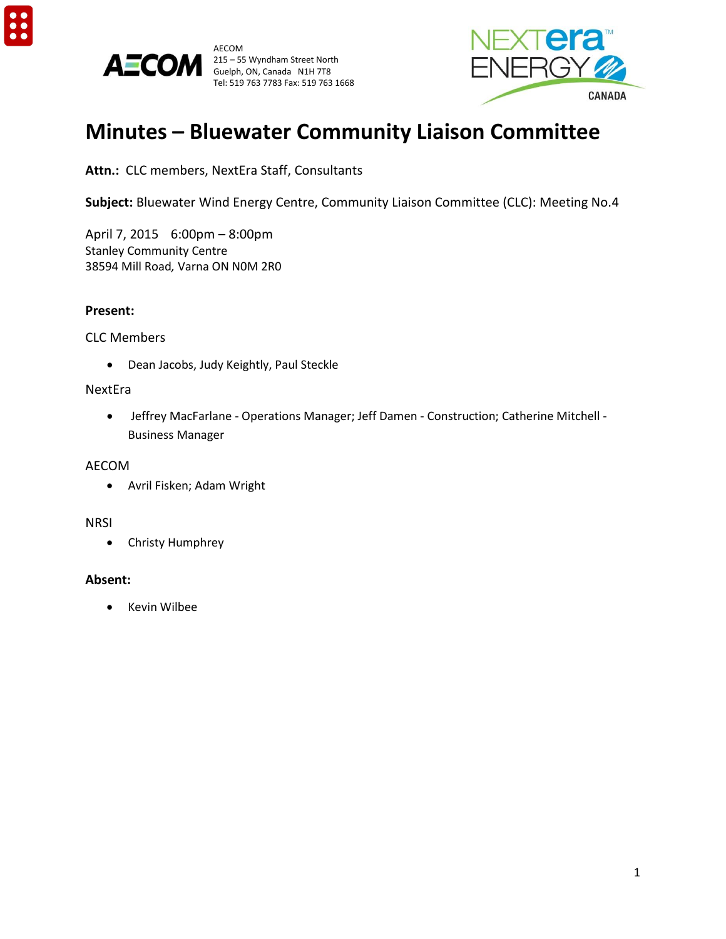



AECOM 215 – 55 Wyndham Street North<br>Guelph, ON, Canada N1H 7T8<br>
Suelph, ON, Canada N1H 7T8 Guelph, ON, Canada N1H 7T8 Tel: 519 763 7783 Fax: 519 763 1668



# **Minutes – Bluewater Community Liaison Committee**

**Attn.:** CLC members, NextEra Staff, Consultants

**Subject:** Bluewater Wind Energy Centre, Community Liaison Committee (CLC): Meeting No.4

April 7, 2015 6:00pm – 8:00pm Stanley Community Centre 38594 Mill Road*,* Varna ON N0M 2R0

### **Present:**

#### CLC Members

Dean Jacobs, Judy Keightly, Paul Steckle

### NextEra

 Jeffrey MacFarlane - Operations Manager; Jeff Damen - Construction; Catherine Mitchell - Business Manager

#### AECOM

Avril Fisken; Adam Wright

## **NRSI**

Christy Humphrey

## **Absent:**

• Kevin Wilbee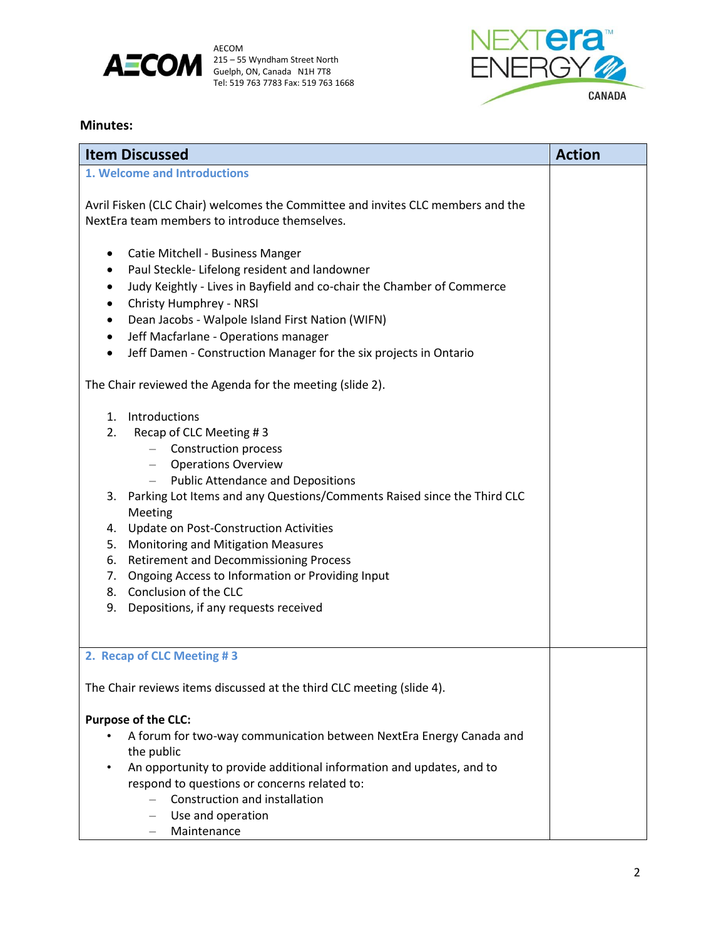



#### **Minutes:**

| <b>Item Discussed</b>                                                 |                                                                                                                                                                                                                                                                                                                                                                                                                                                                                            | <b>Action</b> |
|-----------------------------------------------------------------------|--------------------------------------------------------------------------------------------------------------------------------------------------------------------------------------------------------------------------------------------------------------------------------------------------------------------------------------------------------------------------------------------------------------------------------------------------------------------------------------------|---------------|
| 1. Welcome and Introductions                                          |                                                                                                                                                                                                                                                                                                                                                                                                                                                                                            |               |
|                                                                       | Avril Fisken (CLC Chair) welcomes the Committee and invites CLC members and the<br>NextEra team members to introduce themselves.                                                                                                                                                                                                                                                                                                                                                           |               |
| ٠<br>٠<br>$\bullet$                                                   | Catie Mitchell - Business Manger<br>Paul Steckle-Lifelong resident and landowner<br>Judy Keightly - Lives in Bayfield and co-chair the Chamber of Commerce<br>Christy Humphrey - NRSI<br>Dean Jacobs - Walpole Island First Nation (WIFN)<br>Jeff Macfarlane - Operations manager<br>Jeff Damen - Construction Manager for the six projects in Ontario                                                                                                                                     |               |
|                                                                       | The Chair reviewed the Agenda for the meeting (slide 2).                                                                                                                                                                                                                                                                                                                                                                                                                                   |               |
| 2.<br>5.<br>9.                                                        | 1. Introductions<br>Recap of CLC Meeting #3<br>- Construction process<br>- Operations Overview<br>- Public Attendance and Depositions<br>3. Parking Lot Items and any Questions/Comments Raised since the Third CLC<br>Meeting<br>4. Update on Post-Construction Activities<br>Monitoring and Mitigation Measures<br>6. Retirement and Decommissioning Process<br>7. Ongoing Access to Information or Providing Input<br>8. Conclusion of the CLC<br>Depositions, if any requests received |               |
|                                                                       | 2. Recap of CLC Meeting #3                                                                                                                                                                                                                                                                                                                                                                                                                                                                 |               |
| The Chair reviews items discussed at the third CLC meeting (slide 4). |                                                                                                                                                                                                                                                                                                                                                                                                                                                                                            |               |
|                                                                       | <b>Purpose of the CLC:</b><br>A forum for two-way communication between NextEra Energy Canada and<br>the public<br>An opportunity to provide additional information and updates, and to<br>respond to questions or concerns related to:<br>Construction and installation<br>Use and operation<br>$\overline{\phantom{0}}$<br>Maintenance                                                                                                                                                   |               |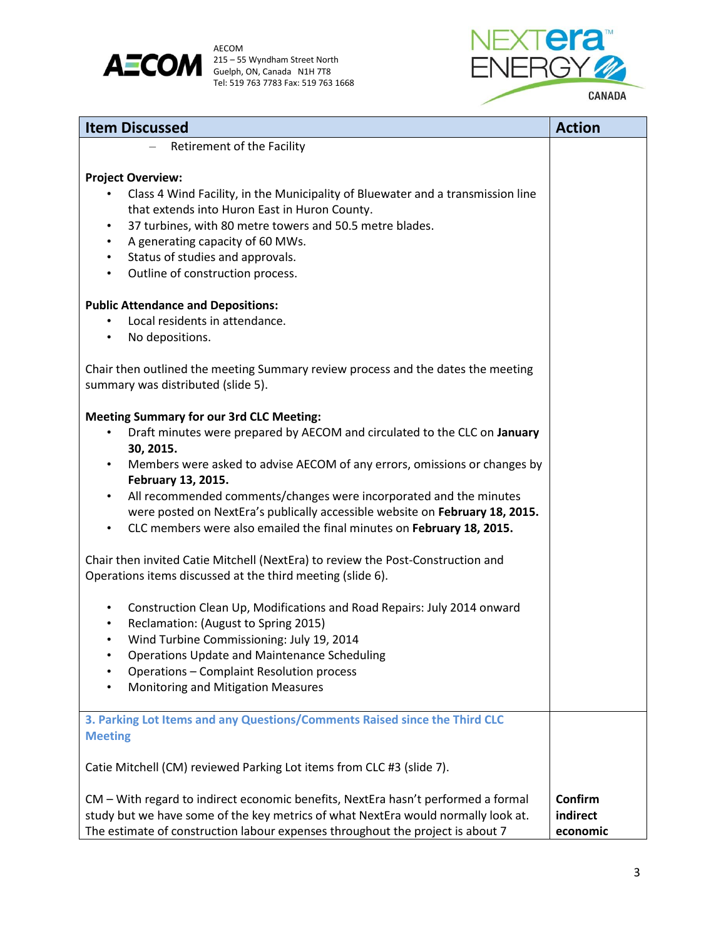



| <b>Item Discussed</b>                                                                                                                                                                                                                                                                                                                                                                    | <b>Action</b>                   |
|------------------------------------------------------------------------------------------------------------------------------------------------------------------------------------------------------------------------------------------------------------------------------------------------------------------------------------------------------------------------------------------|---------------------------------|
| Retirement of the Facility                                                                                                                                                                                                                                                                                                                                                               |                                 |
| <b>Project Overview:</b><br>Class 4 Wind Facility, in the Municipality of Bluewater and a transmission line<br>that extends into Huron East in Huron County.<br>37 turbines, with 80 metre towers and 50.5 metre blades.<br>$\bullet$<br>A generating capacity of 60 MWs.<br>$\bullet$<br>Status of studies and approvals.<br>$\bullet$<br>Outline of construction process.<br>$\bullet$ |                                 |
| <b>Public Attendance and Depositions:</b><br>Local residents in attendance.                                                                                                                                                                                                                                                                                                              |                                 |
| No depositions.                                                                                                                                                                                                                                                                                                                                                                          |                                 |
| Chair then outlined the meeting Summary review process and the dates the meeting<br>summary was distributed (slide 5).                                                                                                                                                                                                                                                                   |                                 |
| <b>Meeting Summary for our 3rd CLC Meeting:</b>                                                                                                                                                                                                                                                                                                                                          |                                 |
| Draft minutes were prepared by AECOM and circulated to the CLC on January<br>$\bullet$                                                                                                                                                                                                                                                                                                   |                                 |
| 30, 2015.                                                                                                                                                                                                                                                                                                                                                                                |                                 |
| Members were asked to advise AECOM of any errors, omissions or changes by<br>February 13, 2015.                                                                                                                                                                                                                                                                                          |                                 |
| All recommended comments/changes were incorporated and the minutes<br>$\bullet$<br>were posted on NextEra's publically accessible website on February 18, 2015.<br>CLC members were also emailed the final minutes on February 18, 2015.                                                                                                                                                 |                                 |
| Chair then invited Catie Mitchell (NextEra) to review the Post-Construction and                                                                                                                                                                                                                                                                                                          |                                 |
| Operations items discussed at the third meeting (slide 6).                                                                                                                                                                                                                                                                                                                               |                                 |
| Construction Clean Up, Modifications and Road Repairs: July 2014 onward<br>$\bullet$<br>Reclamation: (August to Spring 2015)<br>$\bullet$<br>Wind Turbine Commissioning: July 19, 2014<br>$\bullet$<br><b>Operations Update and Maintenance Scheduling</b><br>Operations - Complaint Resolution process<br>Monitoring and Mitigation Measures                                            |                                 |
| 3. Parking Lot Items and any Questions/Comments Raised since the Third CLC<br><b>Meeting</b>                                                                                                                                                                                                                                                                                             |                                 |
| Catie Mitchell (CM) reviewed Parking Lot items from CLC #3 (slide 7).                                                                                                                                                                                                                                                                                                                    |                                 |
| CM - With regard to indirect economic benefits, NextEra hasn't performed a formal<br>study but we have some of the key metrics of what NextEra would normally look at.<br>The estimate of construction labour expenses throughout the project is about 7                                                                                                                                 | Confirm<br>indirect<br>economic |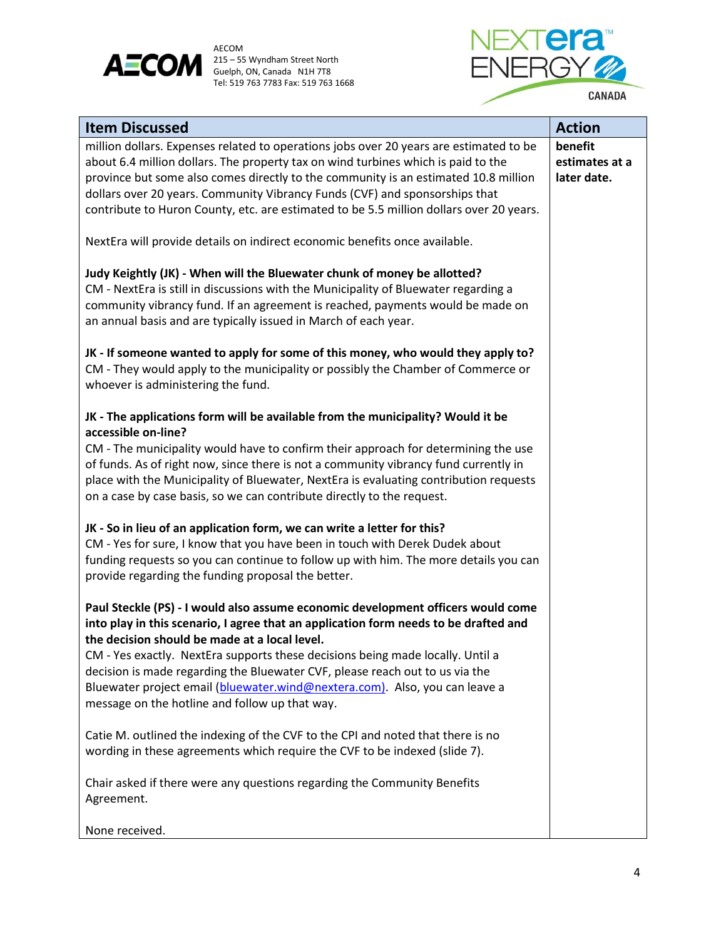



| <b>Item Discussed</b>                                                                                                                                                                                                                                                                                                                                                                                                                                                                                                        | <b>Action</b>                            |
|------------------------------------------------------------------------------------------------------------------------------------------------------------------------------------------------------------------------------------------------------------------------------------------------------------------------------------------------------------------------------------------------------------------------------------------------------------------------------------------------------------------------------|------------------------------------------|
| million dollars. Expenses related to operations jobs over 20 years are estimated to be<br>about 6.4 million dollars. The property tax on wind turbines which is paid to the<br>province but some also comes directly to the community is an estimated 10.8 million<br>dollars over 20 years. Community Vibrancy Funds (CVF) and sponsorships that<br>contribute to Huron County, etc. are estimated to be 5.5 million dollars over 20 years.                                                                                 | benefit<br>estimates at a<br>later date. |
| NextEra will provide details on indirect economic benefits once available.                                                                                                                                                                                                                                                                                                                                                                                                                                                   |                                          |
| Judy Keightly (JK) - When will the Bluewater chunk of money be allotted?<br>CM - NextEra is still in discussions with the Municipality of Bluewater regarding a<br>community vibrancy fund. If an agreement is reached, payments would be made on<br>an annual basis and are typically issued in March of each year.                                                                                                                                                                                                         |                                          |
| JK - If someone wanted to apply for some of this money, who would they apply to?<br>CM - They would apply to the municipality or possibly the Chamber of Commerce or<br>whoever is administering the fund.                                                                                                                                                                                                                                                                                                                   |                                          |
| JK - The applications form will be available from the municipality? Would it be<br>accessible on-line?<br>CM - The municipality would have to confirm their approach for determining the use<br>of funds. As of right now, since there is not a community vibrancy fund currently in<br>place with the Municipality of Bluewater, NextEra is evaluating contribution requests<br>on a case by case basis, so we can contribute directly to the request.                                                                      |                                          |
| JK - So in lieu of an application form, we can write a letter for this?<br>CM - Yes for sure, I know that you have been in touch with Derek Dudek about<br>funding requests so you can continue to follow up with him. The more details you can<br>provide regarding the funding proposal the better.                                                                                                                                                                                                                        |                                          |
| Paul Steckle (PS) - I would also assume economic development officers would come<br>into play in this scenario, I agree that an application form needs to be drafted and<br>the decision should be made at a local level.<br>CM - Yes exactly. NextEra supports these decisions being made locally. Until a<br>decision is made regarding the Bluewater CVF, please reach out to us via the<br>Bluewater project email (bluewater.wind@nextera.com). Also, you can leave a<br>message on the hotline and follow up that way. |                                          |
| Catie M. outlined the indexing of the CVF to the CPI and noted that there is no<br>wording in these agreements which require the CVF to be indexed (slide 7).                                                                                                                                                                                                                                                                                                                                                                |                                          |
| Chair asked if there were any questions regarding the Community Benefits<br>Agreement.                                                                                                                                                                                                                                                                                                                                                                                                                                       |                                          |
|                                                                                                                                                                                                                                                                                                                                                                                                                                                                                                                              |                                          |

None received.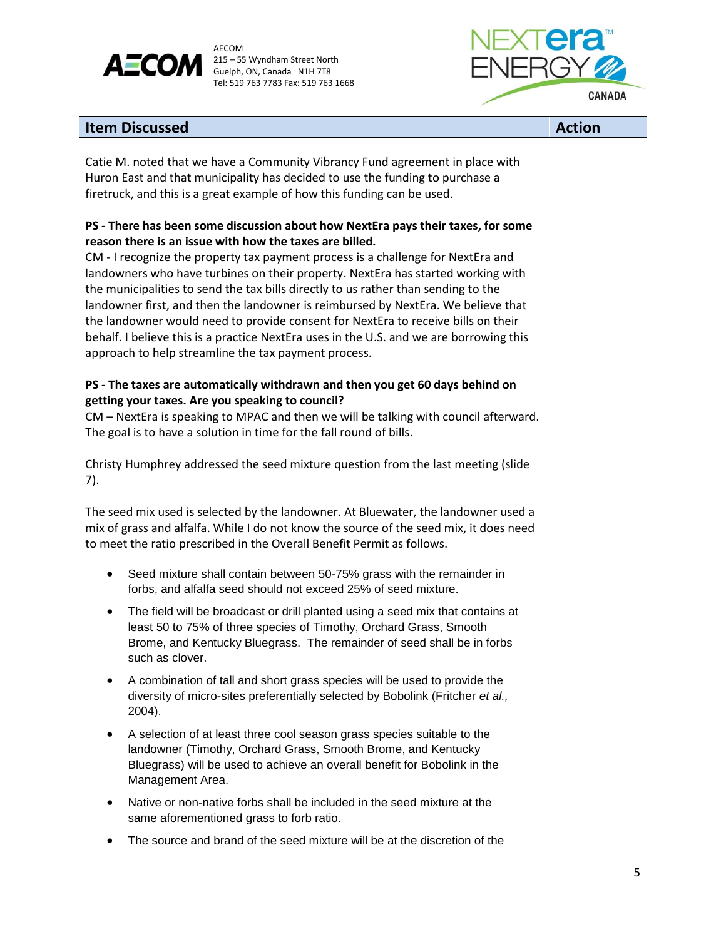



| <b>Item Discussed</b>                                                                                                                                                                                                                                                                                                                                                                                                                                                                                                                                                                                                                                                                                                                  | <b>Action</b> |
|----------------------------------------------------------------------------------------------------------------------------------------------------------------------------------------------------------------------------------------------------------------------------------------------------------------------------------------------------------------------------------------------------------------------------------------------------------------------------------------------------------------------------------------------------------------------------------------------------------------------------------------------------------------------------------------------------------------------------------------|---------------|
| Catie M. noted that we have a Community Vibrancy Fund agreement in place with<br>Huron East and that municipality has decided to use the funding to purchase a<br>firetruck, and this is a great example of how this funding can be used.                                                                                                                                                                                                                                                                                                                                                                                                                                                                                              |               |
| PS - There has been some discussion about how NextEra pays their taxes, for some<br>reason there is an issue with how the taxes are billed.<br>CM - I recognize the property tax payment process is a challenge for NextEra and<br>landowners who have turbines on their property. NextEra has started working with<br>the municipalities to send the tax bills directly to us rather than sending to the<br>landowner first, and then the landowner is reimbursed by NextEra. We believe that<br>the landowner would need to provide consent for NextEra to receive bills on their<br>behalf. I believe this is a practice NextEra uses in the U.S. and we are borrowing this<br>approach to help streamline the tax payment process. |               |
| PS - The taxes are automatically withdrawn and then you get 60 days behind on<br>getting your taxes. Are you speaking to council?<br>CM - NextEra is speaking to MPAC and then we will be talking with council afterward.<br>The goal is to have a solution in time for the fall round of bills.                                                                                                                                                                                                                                                                                                                                                                                                                                       |               |
| Christy Humphrey addressed the seed mixture question from the last meeting (slide<br>7).                                                                                                                                                                                                                                                                                                                                                                                                                                                                                                                                                                                                                                               |               |
| The seed mix used is selected by the landowner. At Bluewater, the landowner used a<br>mix of grass and alfalfa. While I do not know the source of the seed mix, it does need<br>to meet the ratio prescribed in the Overall Benefit Permit as follows.                                                                                                                                                                                                                                                                                                                                                                                                                                                                                 |               |
| Seed mixture shall contain between 50-75% grass with the remainder in<br>forbs, and alfalfa seed should not exceed 25% of seed mixture.                                                                                                                                                                                                                                                                                                                                                                                                                                                                                                                                                                                                |               |
| The field will be broadcast or drill planted using a seed mix that contains at<br>$\bullet$<br>least 50 to 75% of three species of Timothy, Orchard Grass, Smooth<br>Brome, and Kentucky Bluegrass. The remainder of seed shall be in forbs<br>such as clover.                                                                                                                                                                                                                                                                                                                                                                                                                                                                         |               |
| A combination of tall and short grass species will be used to provide the<br>diversity of micro-sites preferentially selected by Bobolink (Fritcher et al.,<br>2004).                                                                                                                                                                                                                                                                                                                                                                                                                                                                                                                                                                  |               |
| A selection of at least three cool season grass species suitable to the<br>landowner (Timothy, Orchard Grass, Smooth Brome, and Kentucky<br>Bluegrass) will be used to achieve an overall benefit for Bobolink in the<br>Management Area.                                                                                                                                                                                                                                                                                                                                                                                                                                                                                              |               |
| Native or non-native forbs shall be included in the seed mixture at the<br>same aforementioned grass to forb ratio.                                                                                                                                                                                                                                                                                                                                                                                                                                                                                                                                                                                                                    |               |
| The source and brand of the seed mixture will be at the discretion of the                                                                                                                                                                                                                                                                                                                                                                                                                                                                                                                                                                                                                                                              |               |

The source and brand of the seed mixture will be at the discretion of the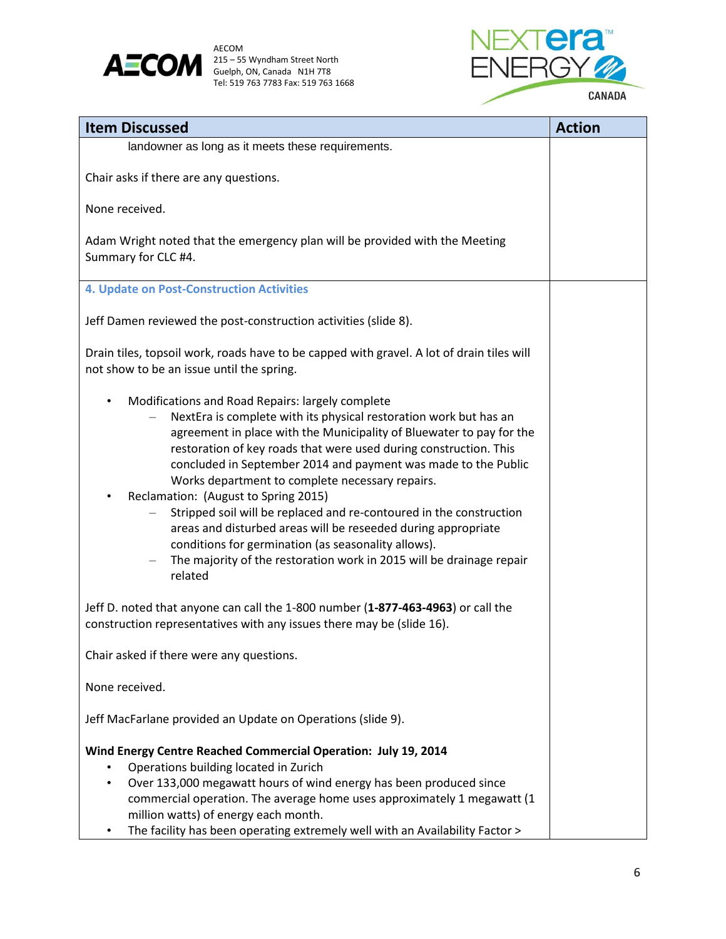

AECOM<br>215 – 55 Wyndham Street North Tel: 519 763 7783 Fax: 519 763 1668



| <b>Item Discussed</b>                                                                                                                                                                                                                                                                                                                                                                                                                                                                                                                                                                                                                                                                                                          | <b>Action</b> |
|--------------------------------------------------------------------------------------------------------------------------------------------------------------------------------------------------------------------------------------------------------------------------------------------------------------------------------------------------------------------------------------------------------------------------------------------------------------------------------------------------------------------------------------------------------------------------------------------------------------------------------------------------------------------------------------------------------------------------------|---------------|
| landowner as long as it meets these requirements.                                                                                                                                                                                                                                                                                                                                                                                                                                                                                                                                                                                                                                                                              |               |
| Chair asks if there are any questions.                                                                                                                                                                                                                                                                                                                                                                                                                                                                                                                                                                                                                                                                                         |               |
| None received.                                                                                                                                                                                                                                                                                                                                                                                                                                                                                                                                                                                                                                                                                                                 |               |
| Adam Wright noted that the emergency plan will be provided with the Meeting<br>Summary for CLC #4.                                                                                                                                                                                                                                                                                                                                                                                                                                                                                                                                                                                                                             |               |
| 4. Update on Post-Construction Activities                                                                                                                                                                                                                                                                                                                                                                                                                                                                                                                                                                                                                                                                                      |               |
| Jeff Damen reviewed the post-construction activities (slide 8).                                                                                                                                                                                                                                                                                                                                                                                                                                                                                                                                                                                                                                                                |               |
| Drain tiles, topsoil work, roads have to be capped with gravel. A lot of drain tiles will<br>not show to be an issue until the spring.                                                                                                                                                                                                                                                                                                                                                                                                                                                                                                                                                                                         |               |
| Modifications and Road Repairs: largely complete<br>$\bullet$<br>NextEra is complete with its physical restoration work but has an<br>agreement in place with the Municipality of Bluewater to pay for the<br>restoration of key roads that were used during construction. This<br>concluded in September 2014 and payment was made to the Public<br>Works department to complete necessary repairs.<br>Reclamation: (August to Spring 2015)<br>Stripped soil will be replaced and re-contoured in the construction<br>areas and disturbed areas will be reseeded during appropriate<br>conditions for germination (as seasonality allows).<br>The majority of the restoration work in 2015 will be drainage repair<br>related |               |
| Jeff D. noted that anyone can call the 1-800 number (1-877-463-4963) or call the<br>construction representatives with any issues there may be (slide 16).                                                                                                                                                                                                                                                                                                                                                                                                                                                                                                                                                                      |               |
| Chair asked if there were any questions.                                                                                                                                                                                                                                                                                                                                                                                                                                                                                                                                                                                                                                                                                       |               |
| None received.                                                                                                                                                                                                                                                                                                                                                                                                                                                                                                                                                                                                                                                                                                                 |               |
| Jeff MacFarlane provided an Update on Operations (slide 9).                                                                                                                                                                                                                                                                                                                                                                                                                                                                                                                                                                                                                                                                    |               |
| Wind Energy Centre Reached Commercial Operation: July 19, 2014<br>Operations building located in Zurich<br>Over 133,000 megawatt hours of wind energy has been produced since<br>commercial operation. The average home uses approximately 1 megawatt (1<br>million watts) of energy each month.<br>The facility has been operating extremely well with an Availability Factor ><br>$\bullet$                                                                                                                                                                                                                                                                                                                                  |               |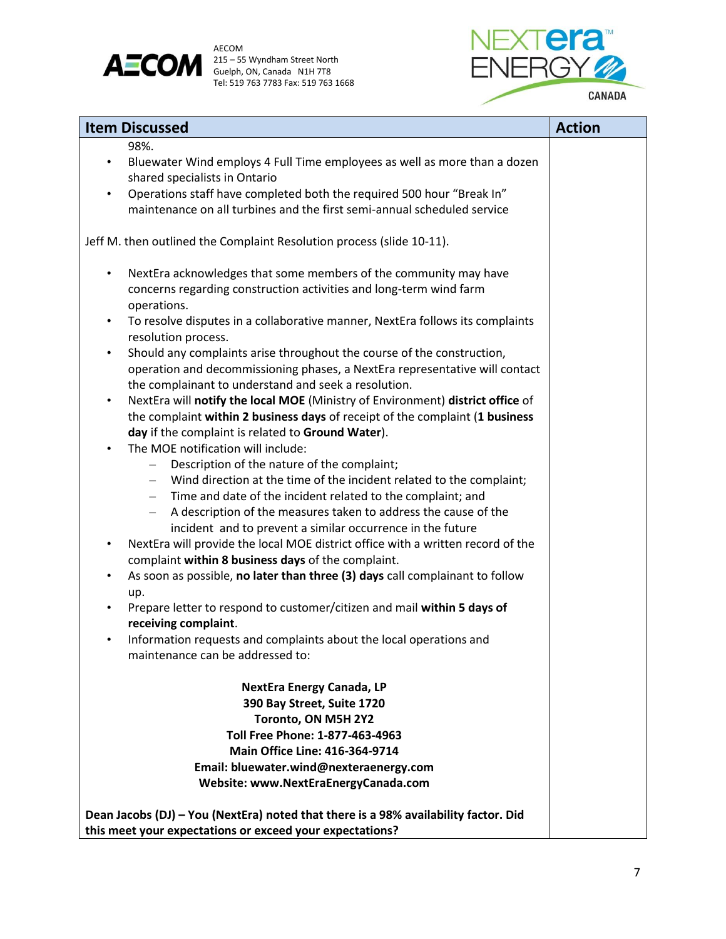

AECOM<br>215 – 55 Wyndham Street North Tel: 519 763 7783 Fax: 519 763 1668



| <b>Item Discussed</b>                                                                                                                                              | <b>Action</b> |
|--------------------------------------------------------------------------------------------------------------------------------------------------------------------|---------------|
| 98%.                                                                                                                                                               |               |
| Bluewater Wind employs 4 Full Time employees as well as more than a dozen<br>$\bullet$                                                                             |               |
| shared specialists in Ontario                                                                                                                                      |               |
| Operations staff have completed both the required 500 hour "Break In"<br>$\bullet$                                                                                 |               |
| maintenance on all turbines and the first semi-annual scheduled service                                                                                            |               |
| Jeff M. then outlined the Complaint Resolution process (slide 10-11).                                                                                              |               |
| NextEra acknowledges that some members of the community may have<br>$\bullet$<br>concerns regarding construction activities and long-term wind farm                |               |
| operations.                                                                                                                                                        |               |
| To resolve disputes in a collaborative manner, NextEra follows its complaints<br>$\bullet$<br>resolution process.                                                  |               |
| Should any complaints arise throughout the course of the construction,<br>$\bullet$<br>operation and decommissioning phases, a NextEra representative will contact |               |
| the complainant to understand and seek a resolution.                                                                                                               |               |
| NextEra will notify the local MOE (Ministry of Environment) district office of<br>$\bullet$                                                                        |               |
| the complaint within 2 business days of receipt of the complaint (1 business                                                                                       |               |
| day if the complaint is related to Ground Water).                                                                                                                  |               |
| The MOE notification will include:<br>$\bullet$                                                                                                                    |               |
| Description of the nature of the complaint;<br>- Wind direction at the time of the incident related to the complaint;                                              |               |
| Time and date of the incident related to the complaint; and<br>$ \,$                                                                                               |               |
| A description of the measures taken to address the cause of the<br>$-$ .                                                                                           |               |
| incident and to prevent a similar occurrence in the future                                                                                                         |               |
| NextEra will provide the local MOE district office with a written record of the<br>$\bullet$                                                                       |               |
| complaint within 8 business days of the complaint.                                                                                                                 |               |
| As soon as possible, no later than three (3) days call complainant to follow<br>$\bullet$                                                                          |               |
| up.                                                                                                                                                                |               |
| Prepare letter to respond to customer/citizen and mail within 5 days of<br>$\bullet$<br>receiving complaint.                                                       |               |
| Information requests and complaints about the local operations and<br>$\bullet$                                                                                    |               |
| maintenance can be addressed to:                                                                                                                                   |               |
| <b>NextEra Energy Canada, LP</b>                                                                                                                                   |               |
| 390 Bay Street, Suite 1720                                                                                                                                         |               |
| Toronto, ON M5H 2Y2                                                                                                                                                |               |
| Toll Free Phone: 1-877-463-4963                                                                                                                                    |               |
| <b>Main Office Line: 416-364-9714</b>                                                                                                                              |               |
| Email: bluewater.wind@nexteraenergy.com                                                                                                                            |               |
| Website: www.NextEraEnergyCanada.com                                                                                                                               |               |
| Dean Jacobs (DJ) - You (NextEra) noted that there is a 98% availability factor. Did                                                                                |               |
| this meet your expectations or exceed your expectations?                                                                                                           |               |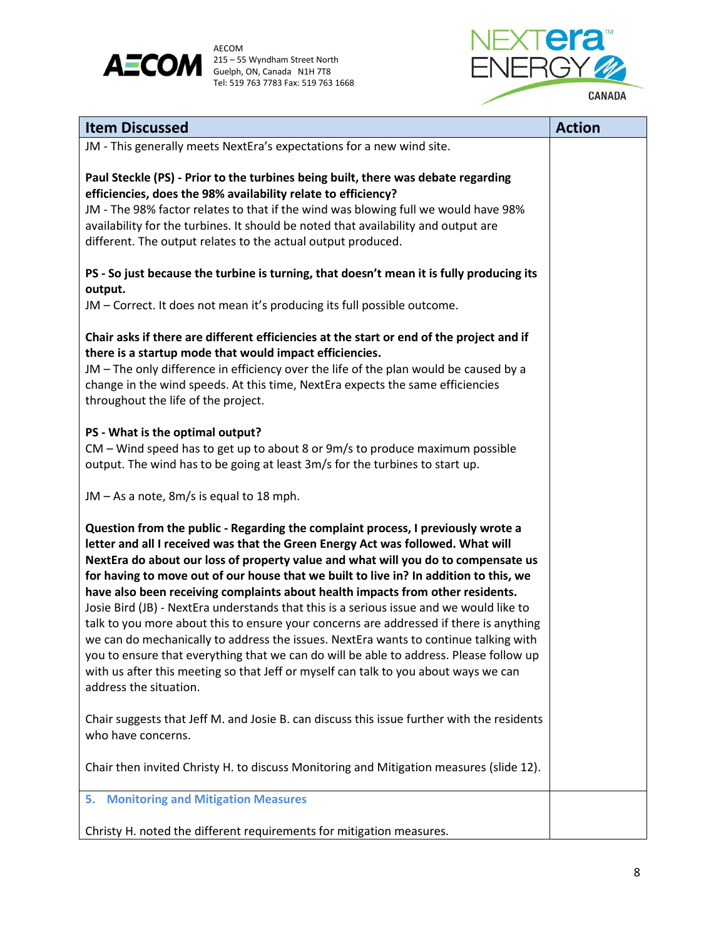

AECOM<br>215 – 55 Wyndham Street North Tel: 519 763 7783 Fax: 519 763 1668



| <b>Item Discussed</b>                                                                                                                                                                                                                                                                                                                                                                                                                                                                                                                                                                                                                                                                                                                                                                                                                                                                                                       | <b>Action</b> |
|-----------------------------------------------------------------------------------------------------------------------------------------------------------------------------------------------------------------------------------------------------------------------------------------------------------------------------------------------------------------------------------------------------------------------------------------------------------------------------------------------------------------------------------------------------------------------------------------------------------------------------------------------------------------------------------------------------------------------------------------------------------------------------------------------------------------------------------------------------------------------------------------------------------------------------|---------------|
| JM - This generally meets NextEra's expectations for a new wind site.                                                                                                                                                                                                                                                                                                                                                                                                                                                                                                                                                                                                                                                                                                                                                                                                                                                       |               |
| Paul Steckle (PS) - Prior to the turbines being built, there was debate regarding<br>efficiencies, does the 98% availability relate to efficiency?<br>JM - The 98% factor relates to that if the wind was blowing full we would have 98%<br>availability for the turbines. It should be noted that availability and output are<br>different. The output relates to the actual output produced.                                                                                                                                                                                                                                                                                                                                                                                                                                                                                                                              |               |
| PS - So just because the turbine is turning, that doesn't mean it is fully producing its<br>output.                                                                                                                                                                                                                                                                                                                                                                                                                                                                                                                                                                                                                                                                                                                                                                                                                         |               |
| JM - Correct. It does not mean it's producing its full possible outcome.                                                                                                                                                                                                                                                                                                                                                                                                                                                                                                                                                                                                                                                                                                                                                                                                                                                    |               |
| Chair asks if there are different efficiencies at the start or end of the project and if<br>there is a startup mode that would impact efficiencies.<br>JM – The only difference in efficiency over the life of the plan would be caused by a<br>change in the wind speeds. At this time, NextEra expects the same efficiencies<br>throughout the life of the project.                                                                                                                                                                                                                                                                                                                                                                                                                                                                                                                                                       |               |
| PS - What is the optimal output?<br>CM - Wind speed has to get up to about 8 or 9m/s to produce maximum possible<br>output. The wind has to be going at least 3m/s for the turbines to start up.                                                                                                                                                                                                                                                                                                                                                                                                                                                                                                                                                                                                                                                                                                                            |               |
| JM - As a note, 8m/s is equal to 18 mph.                                                                                                                                                                                                                                                                                                                                                                                                                                                                                                                                                                                                                                                                                                                                                                                                                                                                                    |               |
| Question from the public - Regarding the complaint process, I previously wrote a<br>letter and all I received was that the Green Energy Act was followed. What will<br>NextEra do about our loss of property value and what will you do to compensate us<br>for having to move out of our house that we built to live in? In addition to this, we<br>have also been receiving complaints about health impacts from other residents.<br>Josie Bird (JB) - NextEra understands that this is a serious issue and we would like to<br>talk to you more about this to ensure your concerns are addressed if there is anything<br>we can do mechanically to address the issues. NextEra wants to continue talking with<br>you to ensure that everything that we can do will be able to address. Please follow up<br>with us after this meeting so that Jeff or myself can talk to you about ways we can<br>address the situation. |               |
| Chair suggests that Jeff M. and Josie B. can discuss this issue further with the residents<br>who have concerns.                                                                                                                                                                                                                                                                                                                                                                                                                                                                                                                                                                                                                                                                                                                                                                                                            |               |
| Chair then invited Christy H. to discuss Monitoring and Mitigation measures (slide 12).                                                                                                                                                                                                                                                                                                                                                                                                                                                                                                                                                                                                                                                                                                                                                                                                                                     |               |
| <b>Monitoring and Mitigation Measures</b><br>5.                                                                                                                                                                                                                                                                                                                                                                                                                                                                                                                                                                                                                                                                                                                                                                                                                                                                             |               |
| Christy H. noted the different requirements for mitigation measures.                                                                                                                                                                                                                                                                                                                                                                                                                                                                                                                                                                                                                                                                                                                                                                                                                                                        |               |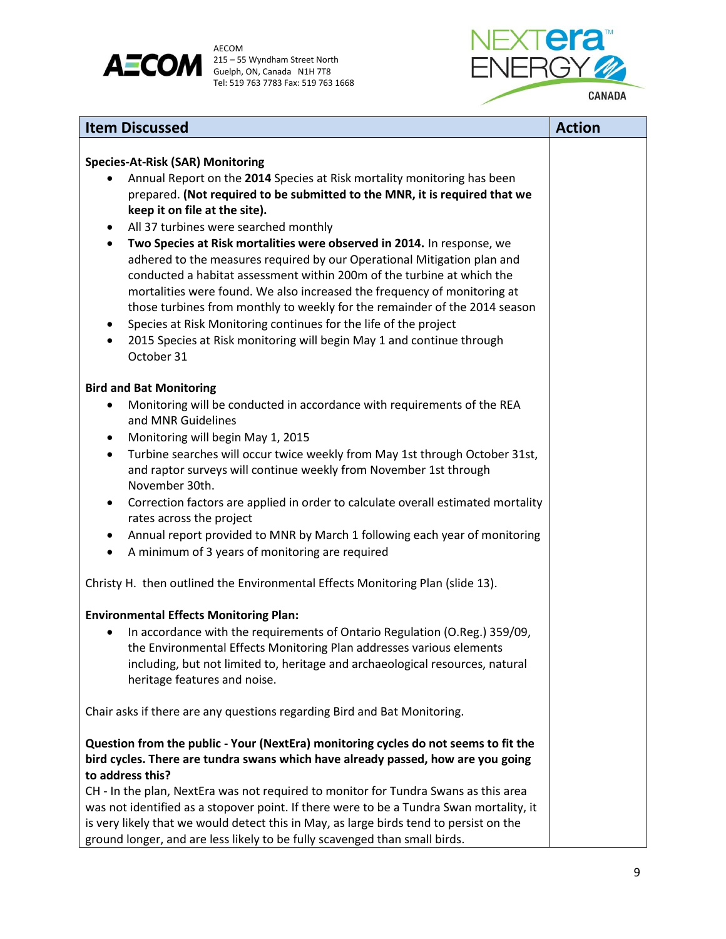



| <b>Item Discussed</b>                                                                                                                                                                                                                                                                                                                                                                                                                                                                                                                                                                                                                                                                                                                                                                                                                                                                                                                                                                     | <b>Action</b> |
|-------------------------------------------------------------------------------------------------------------------------------------------------------------------------------------------------------------------------------------------------------------------------------------------------------------------------------------------------------------------------------------------------------------------------------------------------------------------------------------------------------------------------------------------------------------------------------------------------------------------------------------------------------------------------------------------------------------------------------------------------------------------------------------------------------------------------------------------------------------------------------------------------------------------------------------------------------------------------------------------|---------------|
| <b>Species-At-Risk (SAR) Monitoring</b><br>Annual Report on the 2014 Species at Risk mortality monitoring has been<br>prepared. (Not required to be submitted to the MNR, it is required that we<br>keep it on file at the site).<br>All 37 turbines were searched monthly<br>٠<br>Two Species at Risk mortalities were observed in 2014. In response, we<br>$\bullet$<br>adhered to the measures required by our Operational Mitigation plan and<br>conducted a habitat assessment within 200m of the turbine at which the<br>mortalities were found. We also increased the frequency of monitoring at<br>those turbines from monthly to weekly for the remainder of the 2014 season<br>Species at Risk Monitoring continues for the life of the project<br>٠<br>2015 Species at Risk monitoring will begin May 1 and continue through<br>$\bullet$<br>October 31                                                                                                                        |               |
| <b>Bird and Bat Monitoring</b>                                                                                                                                                                                                                                                                                                                                                                                                                                                                                                                                                                                                                                                                                                                                                                                                                                                                                                                                                            |               |
| Monitoring will be conducted in accordance with requirements of the REA<br>٠<br>and MNR Guidelines<br>Monitoring will begin May 1, 2015<br>٠<br>Turbine searches will occur twice weekly from May 1st through October 31st,<br>$\bullet$<br>and raptor surveys will continue weekly from November 1st through<br>November 30th.<br>Correction factors are applied in order to calculate overall estimated mortality<br>٠<br>rates across the project<br>Annual report provided to MNR by March 1 following each year of monitoring<br>$\bullet$<br>A minimum of 3 years of monitoring are required<br>$\bullet$<br>Christy H. then outlined the Environmental Effects Monitoring Plan (slide 13).<br><b>Environmental Effects Monitoring Plan:</b><br>In accordance with the requirements of Ontario Regulation (O.Reg.) 359/09,<br>the Environmental Effects Monitoring Plan addresses various elements<br>including, but not limited to, heritage and archaeological resources, natural |               |
| heritage features and noise.                                                                                                                                                                                                                                                                                                                                                                                                                                                                                                                                                                                                                                                                                                                                                                                                                                                                                                                                                              |               |
| Chair asks if there are any questions regarding Bird and Bat Monitoring.                                                                                                                                                                                                                                                                                                                                                                                                                                                                                                                                                                                                                                                                                                                                                                                                                                                                                                                  |               |
| Question from the public - Your (NextEra) monitoring cycles do not seems to fit the<br>bird cycles. There are tundra swans which have already passed, how are you going<br>to address this?                                                                                                                                                                                                                                                                                                                                                                                                                                                                                                                                                                                                                                                                                                                                                                                               |               |
| CH - In the plan, NextEra was not required to monitor for Tundra Swans as this area<br>was not identified as a stopover point. If there were to be a Tundra Swan mortality, it<br>is very likely that we would detect this in May, as large birds tend to persist on the                                                                                                                                                                                                                                                                                                                                                                                                                                                                                                                                                                                                                                                                                                                  |               |

ground longer, and are less likely to be fully scavenged than small birds.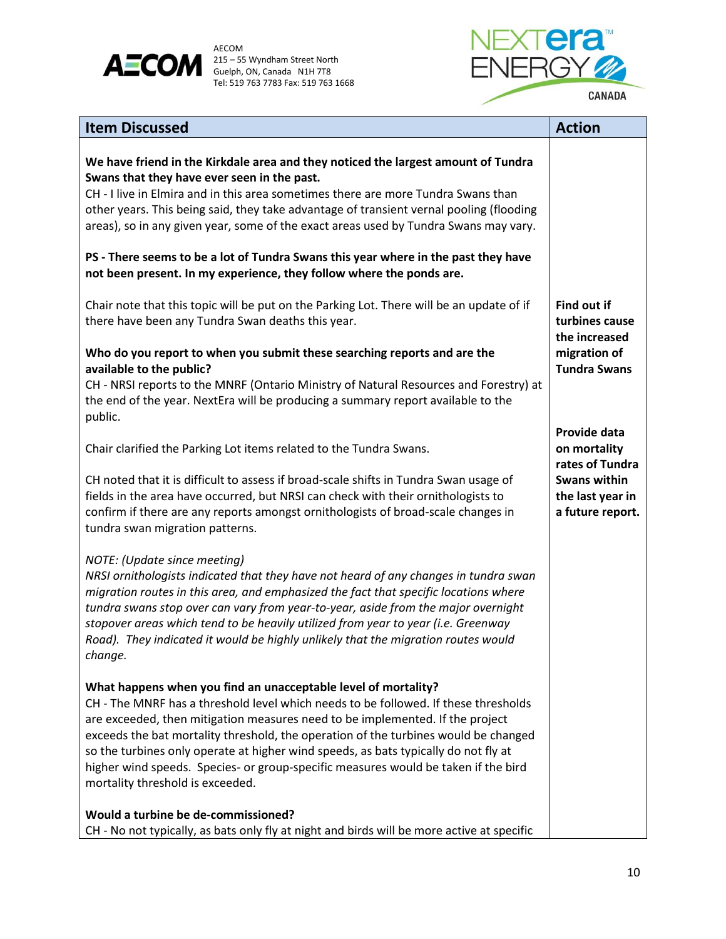



| <b>Item Discussed</b>                                                                                                                                                                                                                                                                                                                                                                                                                                                                                                                          | <b>Action</b>                                               |
|------------------------------------------------------------------------------------------------------------------------------------------------------------------------------------------------------------------------------------------------------------------------------------------------------------------------------------------------------------------------------------------------------------------------------------------------------------------------------------------------------------------------------------------------|-------------------------------------------------------------|
| We have friend in the Kirkdale area and they noticed the largest amount of Tundra<br>Swans that they have ever seen in the past.<br>CH - I live in Elmira and in this area sometimes there are more Tundra Swans than<br>other years. This being said, they take advantage of transient vernal pooling (flooding<br>areas), so in any given year, some of the exact areas used by Tundra Swans may vary.                                                                                                                                       |                                                             |
| PS - There seems to be a lot of Tundra Swans this year where in the past they have<br>not been present. In my experience, they follow where the ponds are.                                                                                                                                                                                                                                                                                                                                                                                     |                                                             |
| Chair note that this topic will be put on the Parking Lot. There will be an update of if<br>there have been any Tundra Swan deaths this year.                                                                                                                                                                                                                                                                                                                                                                                                  | Find out if<br>turbines cause                               |
| Who do you report to when you submit these searching reports and are the<br>available to the public?                                                                                                                                                                                                                                                                                                                                                                                                                                           | the increased<br>migration of<br><b>Tundra Swans</b>        |
| CH - NRSI reports to the MNRF (Ontario Ministry of Natural Resources and Forestry) at<br>the end of the year. NextEra will be producing a summary report available to the<br>public.                                                                                                                                                                                                                                                                                                                                                           |                                                             |
| Chair clarified the Parking Lot items related to the Tundra Swans.                                                                                                                                                                                                                                                                                                                                                                                                                                                                             | <b>Provide data</b><br>on mortality<br>rates of Tundra      |
| CH noted that it is difficult to assess if broad-scale shifts in Tundra Swan usage of<br>fields in the area have occurred, but NRSI can check with their ornithologists to<br>confirm if there are any reports amongst ornithologists of broad-scale changes in<br>tundra swan migration patterns.                                                                                                                                                                                                                                             | <b>Swans within</b><br>the last year in<br>a future report. |
| NOTE: (Update since meeting)<br>NRSI ornithologists indicated that they have not heard of any changes in tundra swan<br>migration routes in this area, and emphasized the fact that specific locations where<br>tundra swans stop over can vary from year-to-year, aside from the major overnight<br>stopover areas which tend to be heavily utilized from year to year (i.e. Greenway<br>Road). They indicated it would be highly unlikely that the migration routes would<br>change.                                                         |                                                             |
| What happens when you find an unacceptable level of mortality?<br>CH - The MNRF has a threshold level which needs to be followed. If these thresholds<br>are exceeded, then mitigation measures need to be implemented. If the project<br>exceeds the bat mortality threshold, the operation of the turbines would be changed<br>so the turbines only operate at higher wind speeds, as bats typically do not fly at<br>higher wind speeds. Species- or group-specific measures would be taken if the bird<br>mortality threshold is exceeded. |                                                             |
| Would a turbine be de-commissioned?<br>CH - No not typically, as bats only fly at night and birds will be more active at specific                                                                                                                                                                                                                                                                                                                                                                                                              |                                                             |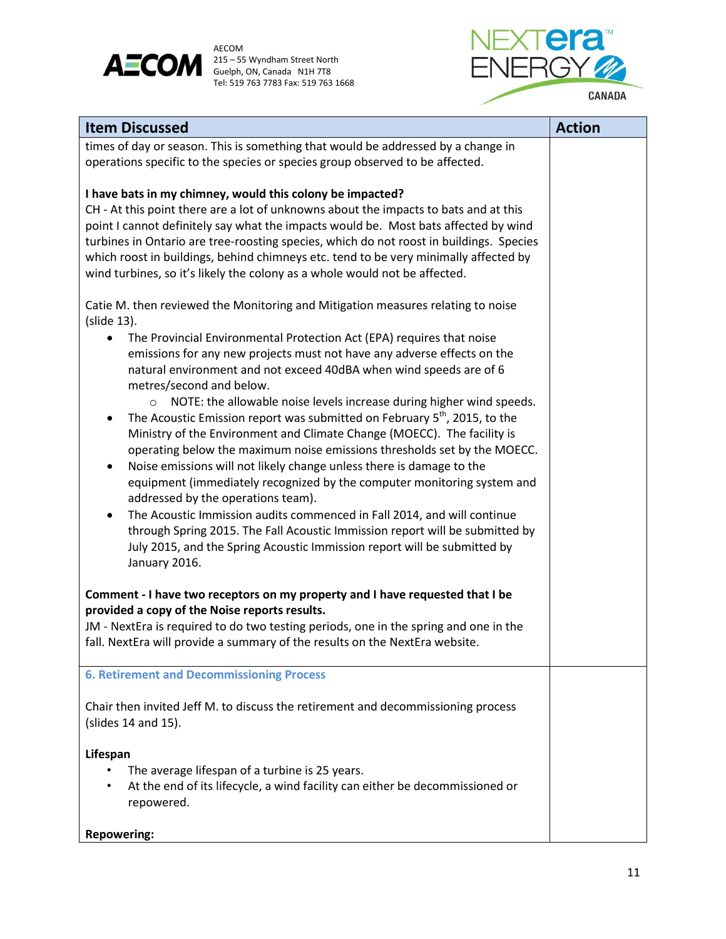



| <b>Item Discussed</b>                                                                                                                                                                                                                                                                                                                                                                                                                                                                                                                                                                                                                                                                                                                                                                                                                                                                                                                                                                                                                                                                                                                                                   | <b>Action</b> |
|-------------------------------------------------------------------------------------------------------------------------------------------------------------------------------------------------------------------------------------------------------------------------------------------------------------------------------------------------------------------------------------------------------------------------------------------------------------------------------------------------------------------------------------------------------------------------------------------------------------------------------------------------------------------------------------------------------------------------------------------------------------------------------------------------------------------------------------------------------------------------------------------------------------------------------------------------------------------------------------------------------------------------------------------------------------------------------------------------------------------------------------------------------------------------|---------------|
| times of day or season. This is something that would be addressed by a change in<br>operations specific to the species or species group observed to be affected.                                                                                                                                                                                                                                                                                                                                                                                                                                                                                                                                                                                                                                                                                                                                                                                                                                                                                                                                                                                                        |               |
| I have bats in my chimney, would this colony be impacted?<br>CH - At this point there are a lot of unknowns about the impacts to bats and at this<br>point I cannot definitely say what the impacts would be. Most bats affected by wind<br>turbines in Ontario are tree-roosting species, which do not roost in buildings. Species<br>which roost in buildings, behind chimneys etc. tend to be very minimally affected by<br>wind turbines, so it's likely the colony as a whole would not be affected.                                                                                                                                                                                                                                                                                                                                                                                                                                                                                                                                                                                                                                                               |               |
| Catie M. then reviewed the Monitoring and Mitigation measures relating to noise<br>(slide 13).<br>The Provincial Environmental Protection Act (EPA) requires that noise<br>٠<br>emissions for any new projects must not have any adverse effects on the<br>natural environment and not exceed 40dBA when wind speeds are of 6<br>metres/second and below.<br>NOTE: the allowable noise levels increase during higher wind speeds.<br>$\circ$<br>The Acoustic Emission report was submitted on February 5 <sup>th</sup> , 2015, to the<br>$\bullet$<br>Ministry of the Environment and Climate Change (MOECC). The facility is<br>operating below the maximum noise emissions thresholds set by the MOECC.<br>Noise emissions will not likely change unless there is damage to the<br>$\bullet$<br>equipment (immediately recognized by the computer monitoring system and<br>addressed by the operations team).<br>The Acoustic Immission audits commenced in Fall 2014, and will continue<br>through Spring 2015. The Fall Acoustic Immission report will be submitted by<br>July 2015, and the Spring Acoustic Immission report will be submitted by<br>January 2016. |               |
| Comment - I have two receptors on my property and I have requested that I be<br>provided a copy of the Noise reports results.<br>JM - NextEra is required to do two testing periods, one in the spring and one in the<br>fall. NextEra will provide a summary of the results on the NextEra website.                                                                                                                                                                                                                                                                                                                                                                                                                                                                                                                                                                                                                                                                                                                                                                                                                                                                    |               |
| <b>6. Retirement and Decommissioning Process</b>                                                                                                                                                                                                                                                                                                                                                                                                                                                                                                                                                                                                                                                                                                                                                                                                                                                                                                                                                                                                                                                                                                                        |               |
| Chair then invited Jeff M. to discuss the retirement and decommissioning process<br>(slides 14 and 15).                                                                                                                                                                                                                                                                                                                                                                                                                                                                                                                                                                                                                                                                                                                                                                                                                                                                                                                                                                                                                                                                 |               |
| Lifespan<br>The average lifespan of a turbine is 25 years.<br>At the end of its lifecycle, a wind facility can either be decommissioned or<br>repowered.                                                                                                                                                                                                                                                                                                                                                                                                                                                                                                                                                                                                                                                                                                                                                                                                                                                                                                                                                                                                                |               |
| <b>Repowering:</b>                                                                                                                                                                                                                                                                                                                                                                                                                                                                                                                                                                                                                                                                                                                                                                                                                                                                                                                                                                                                                                                                                                                                                      |               |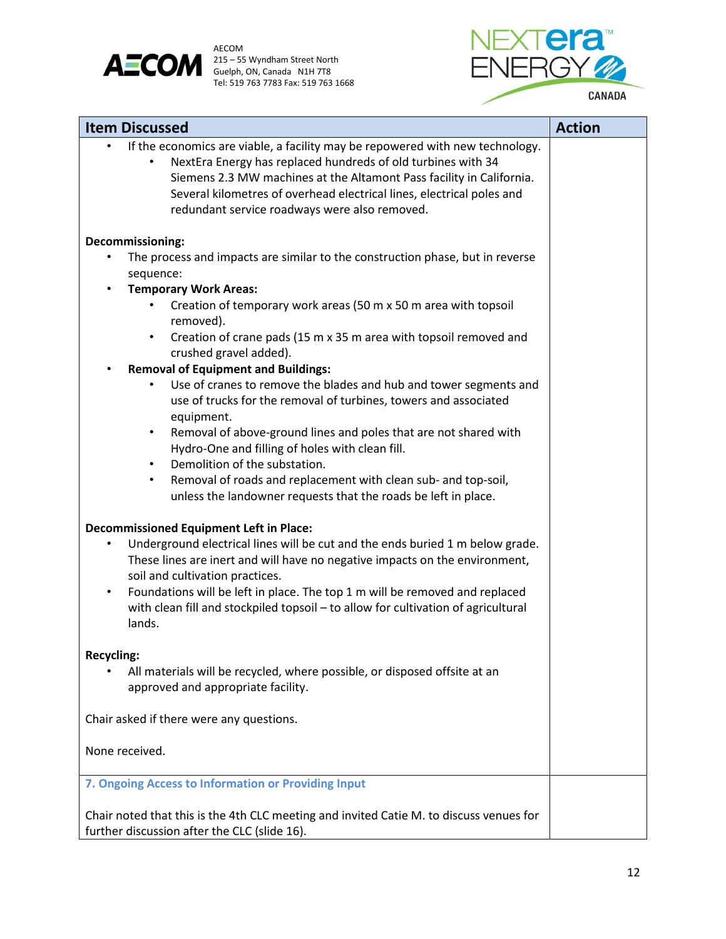



| <b>Item Discussed</b>                                                                                                                                                                                                                                                                                                                           | <b>Action</b> |
|-------------------------------------------------------------------------------------------------------------------------------------------------------------------------------------------------------------------------------------------------------------------------------------------------------------------------------------------------|---------------|
| If the economics are viable, a facility may be repowered with new technology.<br>NextEra Energy has replaced hundreds of old turbines with 34<br>Siemens 2.3 MW machines at the Altamont Pass facility in California.<br>Several kilometres of overhead electrical lines, electrical poles and<br>redundant service roadways were also removed. |               |
| Decommissioning:                                                                                                                                                                                                                                                                                                                                |               |
| The process and impacts are similar to the construction phase, but in reverse<br>$\bullet$                                                                                                                                                                                                                                                      |               |
| sequence:                                                                                                                                                                                                                                                                                                                                       |               |
| <b>Temporary Work Areas:</b>                                                                                                                                                                                                                                                                                                                    |               |
| Creation of temporary work areas (50 m x 50 m area with topsoil<br>removed).                                                                                                                                                                                                                                                                    |               |
| Creation of crane pads (15 m x 35 m area with topsoil removed and<br>$\bullet$<br>crushed gravel added).                                                                                                                                                                                                                                        |               |
| <b>Removal of Equipment and Buildings:</b>                                                                                                                                                                                                                                                                                                      |               |
| Use of cranes to remove the blades and hub and tower segments and<br>use of trucks for the removal of turbines, towers and associated                                                                                                                                                                                                           |               |
| equipment.<br>Removal of above-ground lines and poles that are not shared with<br>$\bullet$<br>Hydro-One and filling of holes with clean fill.                                                                                                                                                                                                  |               |
| Demolition of the substation.<br>$\bullet$                                                                                                                                                                                                                                                                                                      |               |
| Removal of roads and replacement with clean sub- and top-soil,<br>$\bullet$<br>unless the landowner requests that the roads be left in place.                                                                                                                                                                                                   |               |
| <b>Decommissioned Equipment Left in Place:</b>                                                                                                                                                                                                                                                                                                  |               |
| Underground electrical lines will be cut and the ends buried 1 m below grade.<br>$\bullet$<br>These lines are inert and will have no negative impacts on the environment,<br>soil and cultivation practices.                                                                                                                                    |               |
| Foundations will be left in place. The top 1 m will be removed and replaced<br>$\bullet$<br>with clean fill and stockpiled topsoil - to allow for cultivation of agricultural<br>lands.                                                                                                                                                         |               |
|                                                                                                                                                                                                                                                                                                                                                 |               |
| <b>Recycling:</b>                                                                                                                                                                                                                                                                                                                               |               |
| All materials will be recycled, where possible, or disposed offsite at an<br>approved and appropriate facility.                                                                                                                                                                                                                                 |               |
| Chair asked if there were any questions.                                                                                                                                                                                                                                                                                                        |               |
| None received.                                                                                                                                                                                                                                                                                                                                  |               |
| 7. Ongoing Access to Information or Providing Input                                                                                                                                                                                                                                                                                             |               |
| Chair noted that this is the 4th CLC meeting and invited Catie M. to discuss venues for<br>further discussion after the CLC (slide 16).                                                                                                                                                                                                         |               |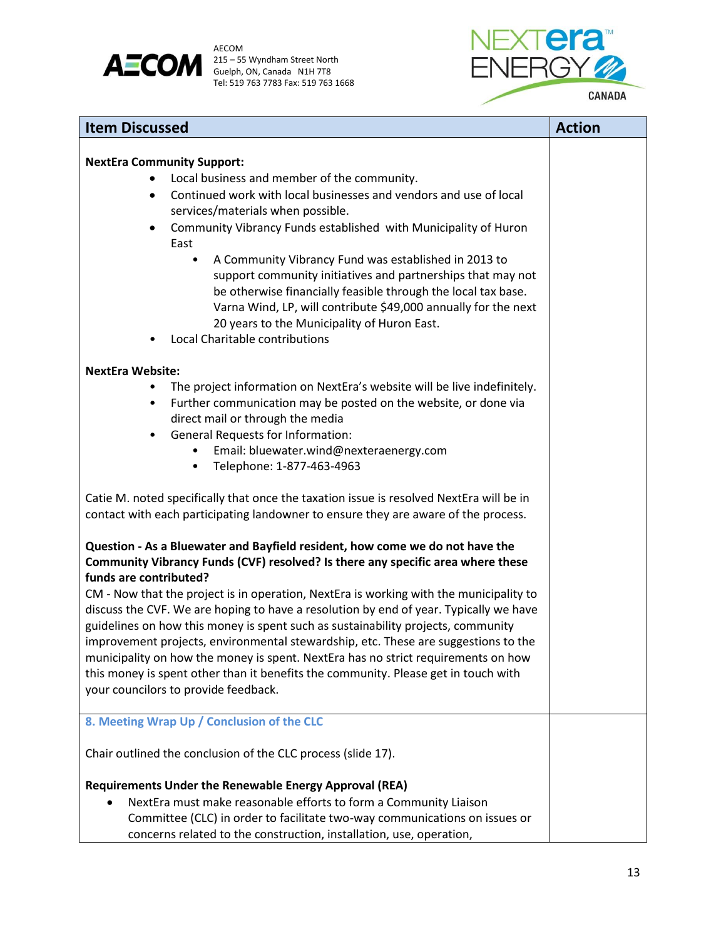



| <b>Item Discussed</b>                                                                                                                                                   | <b>Action</b> |
|-------------------------------------------------------------------------------------------------------------------------------------------------------------------------|---------------|
|                                                                                                                                                                         |               |
| <b>NextEra Community Support:</b>                                                                                                                                       |               |
| Local business and member of the community.                                                                                                                             |               |
| Continued work with local businesses and vendors and use of local<br>$\bullet$                                                                                          |               |
| services/materials when possible.                                                                                                                                       |               |
| Community Vibrancy Funds established with Municipality of Huron<br>$\bullet$<br>East                                                                                    |               |
| A Community Vibrancy Fund was established in 2013 to<br>$\bullet$                                                                                                       |               |
| support community initiatives and partnerships that may not                                                                                                             |               |
| be otherwise financially feasible through the local tax base.                                                                                                           |               |
| Varna Wind, LP, will contribute \$49,000 annually for the next                                                                                                          |               |
| 20 years to the Municipality of Huron East.                                                                                                                             |               |
| Local Charitable contributions                                                                                                                                          |               |
| <b>NextEra Website:</b>                                                                                                                                                 |               |
| The project information on NextEra's website will be live indefinitely.                                                                                                 |               |
| Further communication may be posted on the website, or done via<br>$\bullet$                                                                                            |               |
| direct mail or through the media                                                                                                                                        |               |
| <b>General Requests for Information:</b><br>$\bullet$                                                                                                                   |               |
| Email: bluewater.wind@nexteraenergy.com                                                                                                                                 |               |
| Telephone: 1-877-463-4963<br>$\bullet$                                                                                                                                  |               |
| Catie M. noted specifically that once the taxation issue is resolved NextEra will be in                                                                                 |               |
| contact with each participating landowner to ensure they are aware of the process.                                                                                      |               |
| Question - As a Bluewater and Bayfield resident, how come we do not have the                                                                                            |               |
| Community Vibrancy Funds (CVF) resolved? Is there any specific area where these                                                                                         |               |
| funds are contributed?                                                                                                                                                  |               |
| CM - Now that the project is in operation, NextEra is working with the municipality to                                                                                  |               |
| discuss the CVF. We are hoping to have a resolution by end of year. Typically we have                                                                                   |               |
| guidelines on how this money is spent such as sustainability projects, community                                                                                        |               |
| improvement projects, environmental stewardship, etc. These are suggestions to the                                                                                      |               |
| municipality on how the money is spent. NextEra has no strict requirements on how<br>this money is spent other than it benefits the community. Please get in touch with |               |
| your councilors to provide feedback.                                                                                                                                    |               |
|                                                                                                                                                                         |               |
| 8. Meeting Wrap Up / Conclusion of the CLC                                                                                                                              |               |
| Chair outlined the conclusion of the CLC process (slide 17).                                                                                                            |               |
| Requirements Under the Renewable Energy Approval (REA)                                                                                                                  |               |
| NextEra must make reasonable efforts to form a Community Liaison                                                                                                        |               |
| Committee (CLC) in order to facilitate two-way communications on issues or                                                                                              |               |